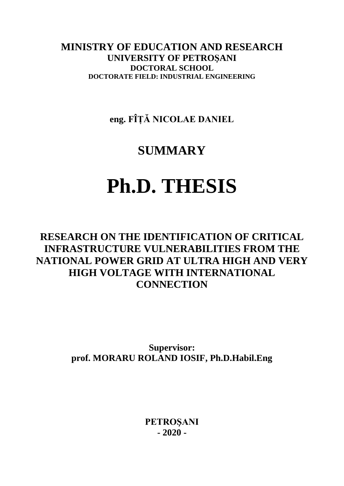**MINISTRY OF EDUCATION AND RESEARCH UNIVERSITY OF PETROŞANI DOCTORAL SCHOOL DOCTORATE FIELD: INDUSTRIAL ENGINEERING**

**eng. FÎȚĂ NICOLAE DANIEL**

## **SUMMARY**

# **Ph.D. THESIS**

### **RESEARCH ON THE IDENTIFICATION OF CRITICAL INFRASTRUCTURE VULNERABILITIES FROM THE NATIONAL POWER GRID AT ULTRA HIGH AND VERY HIGH VOLTAGE WITH INTERNATIONAL CONNECTION**

**Supervisor: prof. MORARU ROLAND IOSIF, Ph.D.Habil.Eng**

> **PETROŞANI - 2020 -**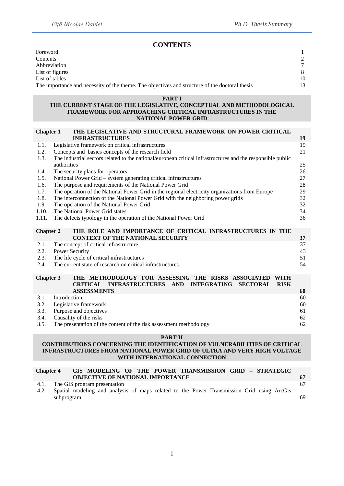#### **CONTENTS**

| Foreword                                                                                       |    |
|------------------------------------------------------------------------------------------------|----|
| Contents                                                                                       |    |
| Abbreviation                                                                                   | 7  |
| List of figures                                                                                | 8  |
| List of tables                                                                                 | 10 |
| The importance and necessity of the theme. The objectives and structure of the doctoral thesis | 13 |

#### **PART I**

#### **THE CURRENT STAGE OF THE LEGISLATIVE, CONCEPTUAL AND METHODOLOGICAL FRAMEWORK FOR APPROACHING CRITICAL INFRASTRUCTURES IN THE NATIONAL POWER GRID**

| THE LEGISLATIVE AND STRUCTURAL FRAMEWORK ON POWER CRITICAL                                                                 |                                                                                                                                                                                                                                                                                                                                                                                                                                                                                                                                                                                                       |  |  |  |  |  |  |  |
|----------------------------------------------------------------------------------------------------------------------------|-------------------------------------------------------------------------------------------------------------------------------------------------------------------------------------------------------------------------------------------------------------------------------------------------------------------------------------------------------------------------------------------------------------------------------------------------------------------------------------------------------------------------------------------------------------------------------------------------------|--|--|--|--|--|--|--|
| <b>INFRASTRUCTURES</b>                                                                                                     | 19                                                                                                                                                                                                                                                                                                                                                                                                                                                                                                                                                                                                    |  |  |  |  |  |  |  |
| Legislative framework on critical infrastructures                                                                          | 19                                                                                                                                                                                                                                                                                                                                                                                                                                                                                                                                                                                                    |  |  |  |  |  |  |  |
| Concepts and basics concepts of the research field                                                                         |                                                                                                                                                                                                                                                                                                                                                                                                                                                                                                                                                                                                       |  |  |  |  |  |  |  |
| The industrial sectors related to the national/european critical infrastructures and the responsible public<br>authorities | 25                                                                                                                                                                                                                                                                                                                                                                                                                                                                                                                                                                                                    |  |  |  |  |  |  |  |
| The security plans for operators<br>1.4.                                                                                   |                                                                                                                                                                                                                                                                                                                                                                                                                                                                                                                                                                                                       |  |  |  |  |  |  |  |
| National Power Grid - system generating critical infrastructures<br>1.5.                                                   |                                                                                                                                                                                                                                                                                                                                                                                                                                                                                                                                                                                                       |  |  |  |  |  |  |  |
| The purpose and requirements of the National Power Grid                                                                    |                                                                                                                                                                                                                                                                                                                                                                                                                                                                                                                                                                                                       |  |  |  |  |  |  |  |
| 1.7.<br>The operation of the National Power Grid in the regional electricity organizations from Europe                     |                                                                                                                                                                                                                                                                                                                                                                                                                                                                                                                                                                                                       |  |  |  |  |  |  |  |
| 1.8.<br>The interconnection of the National Power Grid with the neighboring power grids                                    |                                                                                                                                                                                                                                                                                                                                                                                                                                                                                                                                                                                                       |  |  |  |  |  |  |  |
| 1.9.<br>The operation of the National Power Grid                                                                           |                                                                                                                                                                                                                                                                                                                                                                                                                                                                                                                                                                                                       |  |  |  |  |  |  |  |
| The National Power Grid states                                                                                             | 34                                                                                                                                                                                                                                                                                                                                                                                                                                                                                                                                                                                                    |  |  |  |  |  |  |  |
| The defects typology in the operation of the National Power Grid                                                           | 36                                                                                                                                                                                                                                                                                                                                                                                                                                                                                                                                                                                                    |  |  |  |  |  |  |  |
|                                                                                                                            |                                                                                                                                                                                                                                                                                                                                                                                                                                                                                                                                                                                                       |  |  |  |  |  |  |  |
|                                                                                                                            |                                                                                                                                                                                                                                                                                                                                                                                                                                                                                                                                                                                                       |  |  |  |  |  |  |  |
|                                                                                                                            | 37                                                                                                                                                                                                                                                                                                                                                                                                                                                                                                                                                                                                    |  |  |  |  |  |  |  |
|                                                                                                                            | 37<br>43                                                                                                                                                                                                                                                                                                                                                                                                                                                                                                                                                                                              |  |  |  |  |  |  |  |
| 2.2.<br>51                                                                                                                 |                                                                                                                                                                                                                                                                                                                                                                                                                                                                                                                                                                                                       |  |  |  |  |  |  |  |
| 2.3.<br>2.4.                                                                                                               |                                                                                                                                                                                                                                                                                                                                                                                                                                                                                                                                                                                                       |  |  |  |  |  |  |  |
| 54                                                                                                                         |                                                                                                                                                                                                                                                                                                                                                                                                                                                                                                                                                                                                       |  |  |  |  |  |  |  |
|                                                                                                                            |                                                                                                                                                                                                                                                                                                                                                                                                                                                                                                                                                                                                       |  |  |  |  |  |  |  |
|                                                                                                                            |                                                                                                                                                                                                                                                                                                                                                                                                                                                                                                                                                                                                       |  |  |  |  |  |  |  |
|                                                                                                                            | 60                                                                                                                                                                                                                                                                                                                                                                                                                                                                                                                                                                                                    |  |  |  |  |  |  |  |
|                                                                                                                            | 60                                                                                                                                                                                                                                                                                                                                                                                                                                                                                                                                                                                                    |  |  |  |  |  |  |  |
|                                                                                                                            | 60                                                                                                                                                                                                                                                                                                                                                                                                                                                                                                                                                                                                    |  |  |  |  |  |  |  |
|                                                                                                                            | 61                                                                                                                                                                                                                                                                                                                                                                                                                                                                                                                                                                                                    |  |  |  |  |  |  |  |
| Causality of the risks                                                                                                     | 62                                                                                                                                                                                                                                                                                                                                                                                                                                                                                                                                                                                                    |  |  |  |  |  |  |  |
|                                                                                                                            |                                                                                                                                                                                                                                                                                                                                                                                                                                                                                                                                                                                                       |  |  |  |  |  |  |  |
|                                                                                                                            | <b>Chapter 1</b><br>THE ROLE AND IMPORTANCE OF CRITICAL INFRASTRUCTURES IN THE<br><b>Chapter 2</b><br><b>CONTEXT OF THE NATIONAL SECURITY</b><br>The concept of critical infrastructure<br><b>Power Security</b><br>The life cycle of critical infrastructures<br>The current state of research on critical infrastructures<br>THE METHODOLOGY FOR ASSESSING THE RISKS ASSOCIATED<br><b>Chapter 3</b><br><b>WITH</b><br>CRITICAL INFRASTRUCTURES AND<br><b>INTEGRATING</b><br><b>SECTORAL</b><br><b>RISK</b><br><b>ASSESSMENTS</b><br>Introduction<br>Legislative framework<br>Purpose and objectives |  |  |  |  |  |  |  |

#### **PART II**

#### **CONTRIBUTIONS CONCERNING THE IDENTIFICATION OF VULNERABILITIES OF CRITICAL INFRASTRUCTURES FROM NATIONAL POWER GRID OF ULTRA AND VERY HIGH VOLTAGE WITH INTERNATIONAL CONNECTION**

#### **Chapter 4 GIS MODELING OF THE POWER TRANSMISSION GRID – STRATEGIC OBJECTIVE OF NATIONAL IMPORTANCE** 67 4.1. The GIS program presentation 67

|            |  |  |  |  | 4.2. Spatial modeling and analysis of maps related to the Power Transmission Grid using ArcGis |  |  |
|------------|--|--|--|--|------------------------------------------------------------------------------------------------|--|--|
| subprogram |  |  |  |  |                                                                                                |  |  |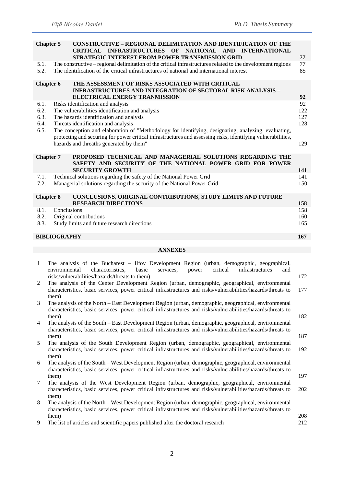|                      | <b>CONSTRUCTIVE - REGIONAL DELIMITATION AND IDENTIFICATION OF THE</b><br><b>Chapter 5</b><br>CRITICAL INFRASTRUCTURES OF NATIONAL AND INTERNATIONAL<br>STRATEGIC INTEREST FROM POWER TRANSMISSION GRID                                                                                                                                                                                                                                                   | 77                       |  |  |  |  |  |
|----------------------|----------------------------------------------------------------------------------------------------------------------------------------------------------------------------------------------------------------------------------------------------------------------------------------------------------------------------------------------------------------------------------------------------------------------------------------------------------|--------------------------|--|--|--|--|--|
| 5.1.<br>5.2.         | The constructive – regional delimitation of the critical infrastructures related to the development regions<br>The identification of the critical infrastructures of national and international interest                                                                                                                                                                                                                                                 | 77<br>85                 |  |  |  |  |  |
|                      | THE ASSESSMENT OF RISKS ASSOCIATED WITH CRITICAL<br><b>Chapter 6</b><br><b>INFRASTRUCTURES AND INTEGRATION OF SECTORAL RISK ANALYSIS -</b><br>ELECTRICAL ENERGY TRANMISSION                                                                                                                                                                                                                                                                              | 92                       |  |  |  |  |  |
| 6.1.<br>6.2.<br>6.5. | Risks identification and analysis<br>The vulnerabilities identification and analysis<br>6.3.<br>The hazards identification and analysis<br>6.4.<br>Threats identification and analysis<br>The conception and elaboration of "Methodology for identifying, designating, analyzing, evaluating,<br>protecting and securing for power critical infrastructures and assessing risks, identifying vulnerabilities,<br>hazards and threaths generated by them" |                          |  |  |  |  |  |
|                      | <b>Chapter 7</b><br>PROPOSED TECHNICAL AND MANAGERIAL SOLUTIONS REGARDING THE<br>SAFETY AND SECURITY OF THE NATIONAL POWER GRID FOR POWER<br><b>SECURITY GROWTH</b>                                                                                                                                                                                                                                                                                      | 141                      |  |  |  |  |  |
| 7.1.<br>7.2.         | Technical solutions regarding the safety of the National Power Grid<br>Managerial solutions regarding the security of the National Power Grid                                                                                                                                                                                                                                                                                                            | 141<br>150               |  |  |  |  |  |
|                      | <b>Chapter 8</b><br>CONCLUSIONS, ORIGINAL CONTRIBUTIONS, STUDY LIMITS AND FUTURE                                                                                                                                                                                                                                                                                                                                                                         |                          |  |  |  |  |  |
| 8.1.<br>8.2.<br>8.3. | <b>RESEARCH DIRECTIONS</b><br>Conclusions<br>Original contributions<br>Study limits and future research directions                                                                                                                                                                                                                                                                                                                                       | 158<br>158<br>160<br>165 |  |  |  |  |  |
|                      | <b>BIBLIOGRAPHY</b>                                                                                                                                                                                                                                                                                                                                                                                                                                      | 167                      |  |  |  |  |  |
|                      | <b>ANNEXES</b>                                                                                                                                                                                                                                                                                                                                                                                                                                           |                          |  |  |  |  |  |
| $\mathbf{1}$         | The analysis of the Bucharest – Ilfov Development Region (urban, demographic, geographical,<br>environmental<br>services,<br>characteristics,<br>basic<br>power<br>critical<br>infrastructures<br>and<br>risks/vulnerabilities/hazards/threats to them)                                                                                                                                                                                                  | 172                      |  |  |  |  |  |
| 2                    | The analysis of the Center Development Region (urban, demographic, geographical, environmental<br>characteristics, basic services, power critical infrastructures and risks/vulnerabilities/hazards/threats to<br>them)                                                                                                                                                                                                                                  | 177                      |  |  |  |  |  |
| 3<br>4               | The analysis of the North – East Development Region (urban, demographic, geographical, environmental<br>characteristics, basic services, power critical infrastructures and risks/vulnerabilities/hazards/threats to<br>them)<br>The analysis of the South - East Development Region (urban, demographic, geographical, environmental                                                                                                                    | 182                      |  |  |  |  |  |
| 5                    | characteristics, basic services, power critical infrastructures and risks/vulnerabilities/hazards/threats to<br>them)<br>The analysis of the South Development Region (urban, demographic, geographical, environmental                                                                                                                                                                                                                                   | 187                      |  |  |  |  |  |
|                      |                                                                                                                                                                                                                                                                                                                                                                                                                                                          |                          |  |  |  |  |  |
|                      | characteristics, basic services, power critical infrastructures and risks/vulnerabilities/hazards/threats to<br>them)                                                                                                                                                                                                                                                                                                                                    | 192                      |  |  |  |  |  |
| 6                    | The analysis of the South – West Development Region (urban, demographic, geographical, environmental<br>characteristics, basic services, power critical infrastructures and risks/vulnerabilities/hazards/threats to<br>them)                                                                                                                                                                                                                            | 197                      |  |  |  |  |  |
| $\tau$               | The analysis of the West Development Region (urban, demographic, geographical, environmental<br>characteristics, basic services, power critical infrastructures and risks/vulnerabilities/hazards/threats to<br>them)                                                                                                                                                                                                                                    | 202                      |  |  |  |  |  |

9 The list of articles and scientific papers published after the doctoral research 212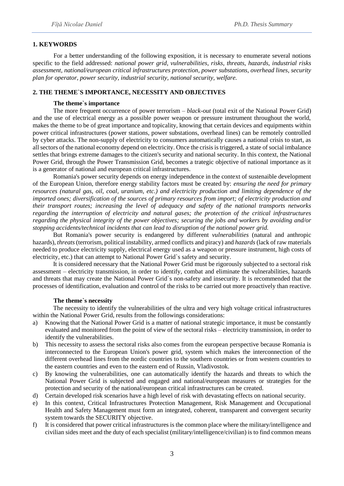#### **1. KEYWORDS**

For a better understanding of the following exposition, it is necessary to enumerate several notions specific to the field addressed: *national power grid, vulnerabilities, risks, threats, hazards, industrial risks assessment, national/european critical infrastructures protection, power substations, overhead lines, security plan for operator, power security, industrial security, national security, welfare.*

#### **2. THE THEME`S IMPORTANCE, NECESSITY AND OBJECTIVES**

#### **The theme`s importance**

The more frequent occurrence of power terrorism – *black-out* (total exit of the National Power Grid) and the use of electrical energy as a possible power weapon or pressure instrument throughout the world, makes the theme to be of great importance and topicality, knowing that certain devices and equipments within power critical infrastructures (power stations, power substations, overhead lines) can be remotely controlled by cyber attacks. The non-supply of electricity to consumers automatically causes a national crisis to start, as all sectors of the national economy depend on electricity. Once the crisis is triggered, a state of social imbalance settles that brings extreme damages to the citizen's security and national security. In this context, the National Power Grid, through the Power Transmission Grid, becomes a trategic objective of national importance as it is a generator of national and european critical infrastructures.

Romania's power security depends on energy independence in the context of sustenaible development of the European Union, therefore energy stability factors must be created by: *ensuring the need for primary resources (natural gas, oil, coal, uranium, etc.) and electricity production and limiting dependence of the imported ones; diversification of the sources of primary resources from import; of electricity production and their transport routes; increasing the level of adequacy and safety of the national transports networks regarding the interruption of electricity and natural gases; the protection of the critical infrastructures regarding the physical integrity of the power objectives; securing the jobs and workers by avoiding and/or stopping accidents/technical incidents that can lead to disruption of the national power grid.*

But Romania's power security is endangered by different *vulnerabilities* (natural and anthropic hazards), *threats* (terrorism, political instability, armed conflicts and piracy) and *hazards* (lack of raw materials needed to produce electricity supply, electrical energy used as a weapon or pressure instrument, high costs of electricity, etc.) that can attempt to National Power Grid`s safety and security.

It is considered necessary that the National Power Grid must be rigorously subjected to a sectoral risk assessment – electricity transmission, in order to identify, combat and eliminate the vulnerabilities, hazards and threats that may create the National Power Grid`s non-safety and insecurity. It is recommended that the processes of identification, evaluation and control of the risks to be carried out more proactively than reactive.

#### **The theme`s necessity**

The necessity to identify the vulnerabilities of the ultra and very high voltage critical infrastructures within the National Power Grid, results from the followings considerations:

- a) Knowing that the National Power Grid is a matter of national strategic importance, it must be constantly evaluated and monitored from the point of view of the sectoral risks – electricity transmission, in order to identify the vulnerabilities.
- b) This necessity to assess the sectoral risks also comes from the european perspective because Romania is interconnected to the European Union's power grid, system which makes the interconnection of the different overhead lines from the nordic countries to the southern countries or from western countries to the eastern countries and even to the eastern end of Russin, Vladivostok.
- c) By knowing the vulnerabilities, one can automatically identify the hazards and threats to which the National Power Grid is subjected and engaged and national/european measures or strategies for the protection and security of the national/european critical infrastructures can be created.
- d) Certain developed risk scenarios have a high level of risk with devastating effects on national security.
- e) In this context, Critical Infrastructures Protection Management, Risk Management and Occupational Health and Safety Management must form an integrated, coherent, transparent and convergent security system towards the SECURITY objective.
- f) It is considered that power critical infrastructures is the common place where the military/intelligence and civilian sides meet and the duty of each specialist (military/intelligence/civilian) is to find common means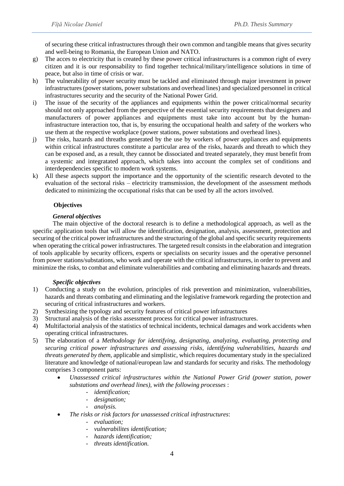of securing these critical infrastructures through their own common and tangible means that gives security and well-being to Romania, the European Union and NATO.

- g) The acces to electricity that is created by these power critical infrastructures is a common right of every citizen and it is our responsability to find together technical/military/intelligence solutions in time of peace, but also in time of crisis or war.
- h) The vulnerability of power security must be tackled and eliminated through major investment in power infrastructures (power stations, power substations and overhead lines) and specialized personnel in critical infrastructures security and the security of the National Power Grid.
- i) The issue of the security of the appliances and equipments within the power critical/normal security should not only approached from the perspective of the essential security requirements that designers and manufacturers of power appliances and equipments must take into account but by the humaninfrastructure interaction too, that is, by ensuring the occupational health and safety of the workers who use them at the respective workplace (power stations, power substations and overhead lines).
- j) The risks, hazards and threaths generated by the use by workers of power appliances and equipments within critical infrastructures constitute a particular area of the risks, hazards and threath to which they can be exposed and, as a result, they cannot be dissociated and treated separately, they must benefit from a systemic and integratated approach, which takes into account the complex set of conditions and interdependencies specific to modern work systems.
- k) All these aspects support the importance and the opportunity of the scientific research devoted to the evaluation of the sectoral risks – electricity tramsmission, the development of the assessment methods dedicated to minimizing the occupational risks that can be used by all the actors involved.

#### **Objectives**

#### *General objectives*

The main objective of the doctoral research is to define a methodological approach, as well as the specific application tools that will allow the identification, designation, analysis, assessment, protection and securing of the critical power infrastructures and the structuring of the global and specific security requirements when operating the critical power infrastructures. The targeted result consists in the elaboration and integration of tools applicable by security officers, experts or specialists on security issues and the operative personnel from power stations/substations, who work and operate with the critical infrastructures, in order to prevent and minimize the risks, to combat and eliminate vulnerabilities and combating and eliminating hazards and threats.

#### *Specific objectives*

- 1) Conducting a study on the evolution, principles of risk prevention and minimization, vulnerabilities, hazards and threats combating and eliminating and the legislative framework regarding the protection and securing of critical infrastructures and workers.
- 2) Synthesizing the typology and security features of critical power infrastructures
- 3) Structural analysis of the risks assessment process for critical power infrastructures.
- 4) Multifactorial analysis of the statistics of technical incidents, technical damages and work accidents when operating critical infrastructures.
- 5) The elaboration of a *Methodology for identifying, designating, analyzing, evaluating, protecting and securing critical power infrastructures and assessing risks, identifying vulnerabilities, hazards and threats generated by them,* applicable and simplistic, which requires documentary study in the specialized literature and knowledge of national/european law and standards for security and risks. The methodology comprises 3 component parts:
	- *Unassessed critical infrastructures within the National Power Grid (power station, power substations and overhead lines), with the following processes* :
		- *identification;*
		- *designation;*
		- *analysis.*
	- *The risks or risk factors for unassessed critical infrastructures*:
		- *evaluation;*
		- *vulnerabilites identification;*
		- *hazards identification;*
		- *threats identification.*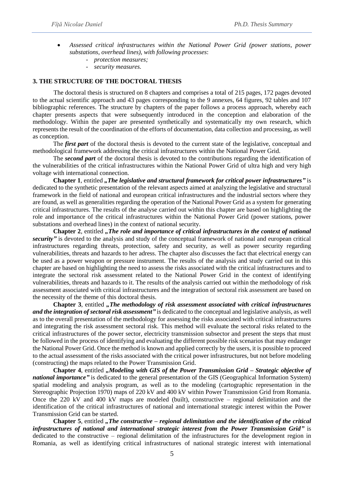- *Assessed critical infrastructures within the National Power Grid (power stations, power substations, overhead lines), with following processes*:
	- *protection measures;*
	- *security measures.*

#### **3. THE STRUCTURE OF THE DOCTORAL THESIS**

The doctoral thesis is structured on 8 chapters and comprises a total of 215 pages, 172 pages devoted to the actual scientific approach and 43 pages corresponding to the 9 annexes, 64 figures, 92 tables and 107 bibliographic references. The structure by chapters of the paper follows a process approach, whereby each chapter presents aspects that were subsequently introduced in the conception and elaboration of the methodology. Within the paper are presented synthetically and systematically my own research, which represents the result of the coordination of the efforts of documentation, data collection and processing, as well as conception.

The *first part* of the doctoral thesis is devoted to the current state of the legislative, conceptual and methodological framework addressing the critical infrastructures within the National Power Grid.

The *second part* of the doctoral thesis is devoted to the contributions regarding the identification of the vulnerabilities of the critical infrastructures within the National Power Grid of ultra high and very high voltage with international connection.

**Chapter 1**, entitled *"The legislative and structural framework for critical power infrastructures"* is dedicated to the synthetic presentation of the relevant aspects aimed at analyzing the legislative and structural framework in the field of national and european critical infrastructures and the industrial sectors where they are found, as well as generalities regarding the operation of the National Power Grid as a system for generating critical infrastructures. The results of the analyse carried out within this chapter are based on highlighting the role and importance of the critical infrastructures within the National Power Grid (power stations, power substations and overhead lines) in the context of national security.

**Chapter 2**, entitled *"The role and importance of critical infrastructures in the context of national security"* is devoted to the analysis and study of the conceptual framework of national and european critical infrastructures regarding threats, protection, safety and security, as well as power security regarding vulnerabilities, threats and hazards to her adress. The chapter also discusses the fact that electrical energy can be used as a power weapon or pressure instrument. The results of the analysis and study carried out in this chapter are based on highlighting the need to assess the risks associated with the critical infrastructures and to integrate the sectoral risk assessment related to the National Power Grid in the context of identifying vulnerabilities, threats and hazards to it. The results of the analysis carried out within the methodology of risk assessment associated with critical infrastructures and the integration of sectoral risk assessment are based on the necessity of the theme of this doctoral thesis.

**Chapter 3**, entitled *"The methodology of risk assessment associated with critical infrastructures and the integration of sectoral risk assessment"* is dedicated to the conceptual and legislative analysis, as well as to the overall presentation of the methodology for assessing the risks associated with critical infrastructures and integrating the risk assessment sectoral risk. This method will evaluate the sectoral risks related to the critical infrastructures of the power sector, electricity transmission subsector and present the steps that must be followed in the process of identifying and evaluating the different possible risk scenarios that may endanger the National Power Grid. Once the method is known and applied correctly by the users, it is possible to proceed to the actual assessment of the risks associated with the critical power infrastructures, but not before modeling (constructing) the maps related to the Power Transmission Grid.

**Chapter 4**, entitled *"Modeling with GIS of the Power Transmission Grid – Strategic objective of national importance*" is dedicated to the general presentation of the GIS (Geographical Information System) spatial modeling and analysis program, as well as to the modeling (cartographic representation in the Stereographic Projection 1970) maps of 220 kV and 400 kV within Power Transmission Grid from Romania. Once the 220 kV and 400 kV maps are modeled (built), constructive – regional delimitation and the identification of the critical infrastructures of national and international strategic interest within the Power Transmission Grid can be started.

**Chapter 5**, entitled *"The constructive – regional delimitation and the identification of the critical infrastructures of national and international strategic interest from the Power Transmission Grid"* is dedicated to the constructive – regional delimitation of the infrastructures for the development region in Romania, as well as identifying critical infrastructures of national strategic interest with international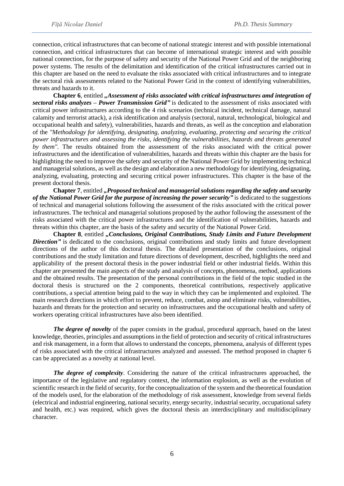connection, critical infrastructures that can become of national strategic interest and with possible international connection, and critical infrastructures that can become of international strategic interest and with possible national connection, for the purpose of safety and security of the National Power Grid and of the neighboring power systems. The results of the delimitation and identification of the critical infrastructures carried out in this chapter are based on the need to evaluate the risks associated with critical infrastructures and to integrate the sectoral risk assessments related to the National Power Grid in the context of identifying vulnerabilities, threats and hazards to it.

**Chapter 6**, entitled *"Assessment of risks associated with critical infrastructures amd integration of sectoral risks analyzes – Power Transmission Grid"* is dedicated to the assessment of risks associated with critical power infrastructures according to the 4 risk scenarios (technical incident, technical damage, natural calamity and terrorist attack), a risk identification and analysis (sectoral, natural, technological, biological and occupational health and safety), vulnerabilities, hazards and threats, as well as the conception and elaboration of the *"Methodology for identifying, designating, analyzing, evaluating, protecting and securing the critical power infrastructures and assessing the risks, identifying the vulnerabilities, hazards and threats generated by them".* The results obtained from the asssessment of the risks associated with the critical power infrastructures and the identification of vulnerabilities, hazards and threats within this chapter are the basis for highlighting the need to improve the safety and security of the National Power Grid by implementing technical and managerial solutions, as well as the design and elaboration a new methodology for identifying, designating, analyzing, evaluating, protecting and securing critical power infrastructures. This chapter is the base of the present doctoral thesis.

**Chapter 7**, entitled *"Proposed technical and managerial solutions regarding the safety and security of the National Power Grid for the purpose of increasing the power security"* is dedicated to the suggestions of technical and managerial solutions following the assessment of the risks associated with the critical power infrastructures. The technical and managerial solutions proposed by the author following the assessment of the risks associated with the critical power infrastructures and the identification of vulnerabilities, hazards and threats within this chapter, are the basis of the safety and security of the National Power Grid.

**Chapter 8**, entitled *"Conclusions, Original Contributions, Study Limits and Future Development*  **Direction**" is dedicated to the conclusions, original contributions and study limits and future development directions of the author of this doctoral thesis. The detailed presentation of the conclusions, original contributions and the study limitation and future directions of development, described, highlights the need and applicability of the present doctoral thesis in the power industrial field or other industrial fields. Within this chapter are presented the main aspects of the study and analysis of concepts, phenomena, method, applications and the obtained results. The presentation of the personal contributions in the field of the topic studied in the doctoral thesis is structured on the 2 components, theoretical contributions, respectively applicative contributions, a special attention being paid to the way in which they can be implemented and exploited. The main research directions in which effort to prevent, reduce, combat, astop and eliminate risks, vulnerabilities, hazards and threats for the protection and security on infrastructures and the occupational health and safety of workers operating critical infrastructures have also been identified.

*The degree of novelty* of the paper consists in the gradual, procedural approach, based on the latest knowledge, theories, principles and assumptions in the field of protection and security of critical infrastructures and risk management, in a form that allows to understand the concepts, phenomena, analysis of different types of risks associated with the critical infrastructures analyzed and assessed. The method proposed in chapter 6 can be appreciated as a novelty at national level.

*The degree of complexity*. Considering the nature of the critical infrastructures approached, the importance of the legislative and regulatory context, the information explosion, as well as the evolution of scientific research in the field of security, for the conceptualization of the system and the theoretical foundation of the models used, for the elaboration of the methodology of risk assessment, knowledge from several fields (electrical and industrial engineering, national security, energy security, industrial security, occupational safety and health, etc.) was required, which gives the doctoral thesis an interdisciplinary and multidisciplinary character.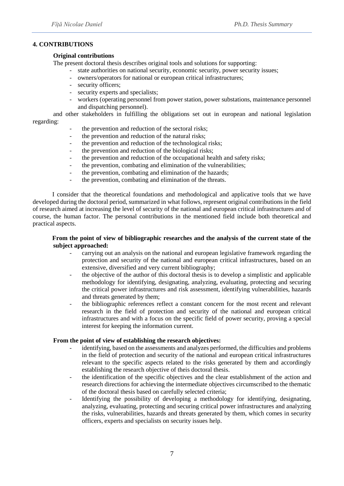#### **4. CONTRIBUTIONS**

#### **Original contributions**

The present doctoral thesis describes original tools and solutions for supporting:

- state authorities on national security, economic security, power security issues;
- owners/operators for national or european critical infrastructures;
- security officers;
- security experts and specialists;
- workers (operating personnel from power station, power substations, maintenance personnel and dispatching personnel).

and other stakeholders in fulfilling the obligations set out in european and national legislation regarding:

- the prevention and reduction of the sectoral risks;
- the prevention and reduction of the natural risks;
- the prevention and reduction of the technological risks;
- the prevention and reduction of the biological risks;
- the prevention and reduction of the occupational health and safety risks;
- the prevention, combating and elimination of the vulnerabilities;
- the prevention, combating and elimination of the hazards;
- the prevention, combating and elimination of the threats.

I consider that the theoretical foundations and methodological and applicative tools that we have developed during the doctoral period, summarized in what follows, represent original contributions in the field of research aimed at increasing the level of security of the national and european critical infrastructures and of course, the human factor. The personal contributions in the mentioned field include both theoretical and practical aspects.

#### **From the point of view of bibliographic researches and the analysis of the current state of the subject approached:**

- carrying out an analysis on the national and european legislative framework regarding the protection and security of the national and european critical infrastructures, based on an extensive, diversified and very current bibliography;
- the objective of the author of this doctoral thesis is to develop a simplistic and applicable methodology for identifying, designating, analyzing, evaluating, protecting and securing the critical power infrastructures and risk assessment, identifying vulnerabilities, hazards and threats generated by them;
- the bibliographic references reflect a constant concern for the most recent and relevant research in the field of protection and security of the national and european critical infrastructures and with a focus on the specific field of power security, proving a special interest for keeping the information current.

#### **From the point of view of establishing the research objectives:**

- identifying, based on the assessments and analyzes performed, the difficulties and problems in the field of protection and security of the national and european critical infrastructures relevant to the specific aspects related to the risks generated by them and accordingly establishing the research objective of theis doctoral thesis.
- the identification of the specific objectives and the clear establishment of the action and research directions for achieving the intermediate objectives circumscribed to the thematic of the doctoral thesis based on carefully selected criteria;
- Identifying the possibility of developing a methodology for identifying, designating, analyzing, evaluating, protecting and securing critical power infrastructures and analyzing the risks, vulnerabilities, hazards and threats generated by them, which comes in security officers, experts and specialists on security issues help.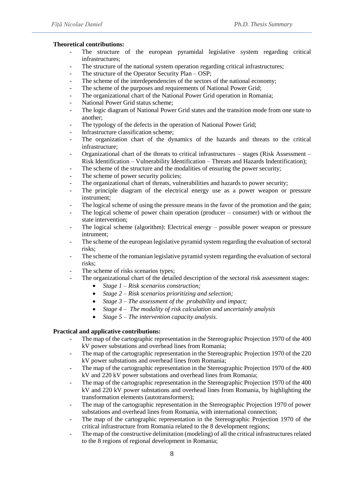#### **Theoretical contributions:**

- The structure of the european pyramidal legislative system regarding critical infrastructures;
- The structure of the national system operation regarding critical infrastructures;
- The structure of the Operator Security Plan OSP;
- The scheme of the interdependencies of the sectors of the national economy;
- The scheme of the purposes and requirements of National Power Grid;
- The organizational chart of the National Power Grid operation in Romania;
- National Power Grid status scheme;
- The logic diagram of National Power Grid states and the transition mode from one state to another;
- The typology of the defects in the operation of National Power Grid;
- Infrastructure classification scheme;
- The organization chart of the dynamics of the hazards and threats to the critical infrastructure;
- Organizational chart of the threats to critical infrastructures stages (Risk Assessment Risk Identification – Vulnerability Identification – Threats and Hazards Indentification);
- The scheme of the structure and the modalities of ensuring the power security;
- The scheme of power security policies;
- The organizational chart of threats, vulnerabilities and hazards to power security;
- The principle diagram of the electrical energy use as a power weapon or pressure instrument;
- The logical scheme of using the pressure means in the favor of the promotion and the gain;
- The logical scheme of power chain operation (producer consumer) with or without the state intervention;
- The logical scheme (algorithm): Electrical energy  $-$  possible power weapon or pressure intrument;
- The scheme of the european legislative pyramid system regarding the evaluation of sectoral risks;
- The scheme of the romanian legislative pyramid system regarding the evaluation of sectoral risks;
- The scheme of risks scenarios types;
- The organizational chart of the detailed description of the sectoral risk assessment stages:
	- *Stage 1 – Risk scenarios construction;*
	- *Stage 2 – Risk scenarios prioritizing and selection;*
	- *Stage 3 – The assessment of the probability and impact;*
	- *Stage 4 – The modality of risk calculation and uncertainly analysis*
	- *Stage 5 – The intervention capacity analysis.*

#### **Practical and applicative contributions:**

- The map of the cartographic representation in the Stereographic Projection 1970 of the 400 kV power substations and overhead lines from Romania;
- The map of the cartographic representation in the Stereographic Projection 1970 of the 220 kV power substations and overhead lines from Romania;
- The map of the cartographic representation in the Stereographic Projection 1970 of the 400 kV and 220 kV power substations and overhead lines from Romania;
- The map of the cartographic representation in the Stereographic Projection 1970 of the 400 kV and 220 kV power substations and overhead lines from Romania, by highlighting the transformation elements (autotransformers);
- The map of the cartographic representation in the Stereographic Projection 1970 of power substations and overhead lines from Romania, with international connection;
- The map of the cartographic representation in the Stereographic Projection 1970 of the critical infrastructure from Romania related to the 8 development regions;
- The map of the constructive delimitation (modeling) of all the critical infrastructures related to the 8 regions of regional development in Romania;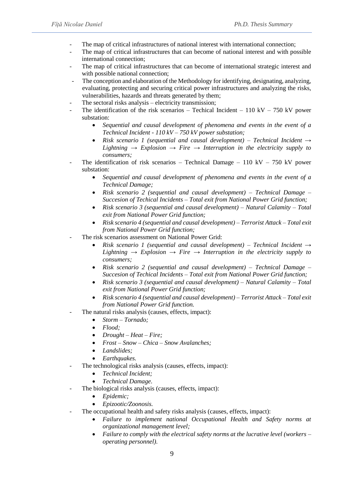- The map of critical infrastructures of national interest with international connection;
- The map of critical infrastructures that can become of national interest and with possible international connection;
- The map of critical infrastructures that can become of international strategic interest and with possible national connection;
- The conception and elaboration of the Methodology for identifying, designating, analyzing, evaluating, protecting and securing critical power infrastructures and analyzing the risks, vulnerabilities, hazards and threats generated by them;
- The sectoral risks analysis electricity transmission;
- The identification of the risk scenarios Techical Incident 110 kV 750 kV power substation:
	- *Sequential and causal development of phenomena and events in the event of a Technical Incident - 110 kV – 750 kV power substation;*
	- *Risk scenario 1 (sequential and causal development) – Technical Incident → Lightning → Explosion → Fire → Interruption in the electricity supply to consumers;*
- The identification of risk scenarios Technical Damage 110 kV 750 kV power substation:
	- *Sequential and causal development of phenomena and events in the event of a Technical Damage;*
	- *Risk scenario 2 (sequential and causal development) – Technical Damage – Succesion of Techical Incidents – Total exit from National Power Grid function;*
	- *Risk scenario 3 (sequential and causal development) – Natural Calamity – Total exit from National Power Grid function;*
	- *Risk scenario 4 (sequential and causal development) – Terrorist Attack – Total exit from National Power Grid function;*
- The risk scenarios assessment on National Power Grid:
	- *Risk scenario 1 (sequential and causal development) – Technical Incident → Lightning*  $\rightarrow$  *Explosion*  $\rightarrow$  *Fire*  $\rightarrow$  *Interruption in the electricity supply to consumers;*
	- *Risk scenario 2 (sequential and causal development) – Technical Damage – Succesion of Techical Incidents – Total exit from National Power Grid function;*
	- *Risk scenario 3 (sequential and causal development) – Natural Calamity – Total exit from National Power Grid function;*
	- *Risk scenario 4 (sequential and causal development) – Terrorist Attack – Total exit from National Power Grid function.*
- The natural risks analysis (causes, effects, impact):
	- *Storm – Tornado;*
	- *Flood;*
	- *Drought – Heat – Fire;*
	- *Frost – Snow – Chica – Snow Avalanches;*
	- *Landslides;*
	- *Earthquakes.*
- The technological risks analysis (causes, effects, impact):
	- *Technical Incident;*
	- *Technical Damage.*
- The biological risks analysis (causes, effects, impact):
	- *Epidemic;*
	- *Epizootic/Zoonosis.*
- The occupational health and safety risks analysis (causes, effects, impact):
	- *Failure to implement national Occupational Health and Safety norms at organizational management level;*
	- *Failure to comply with the electrical safety norms at the lucrative level (workers – operating personnel).*